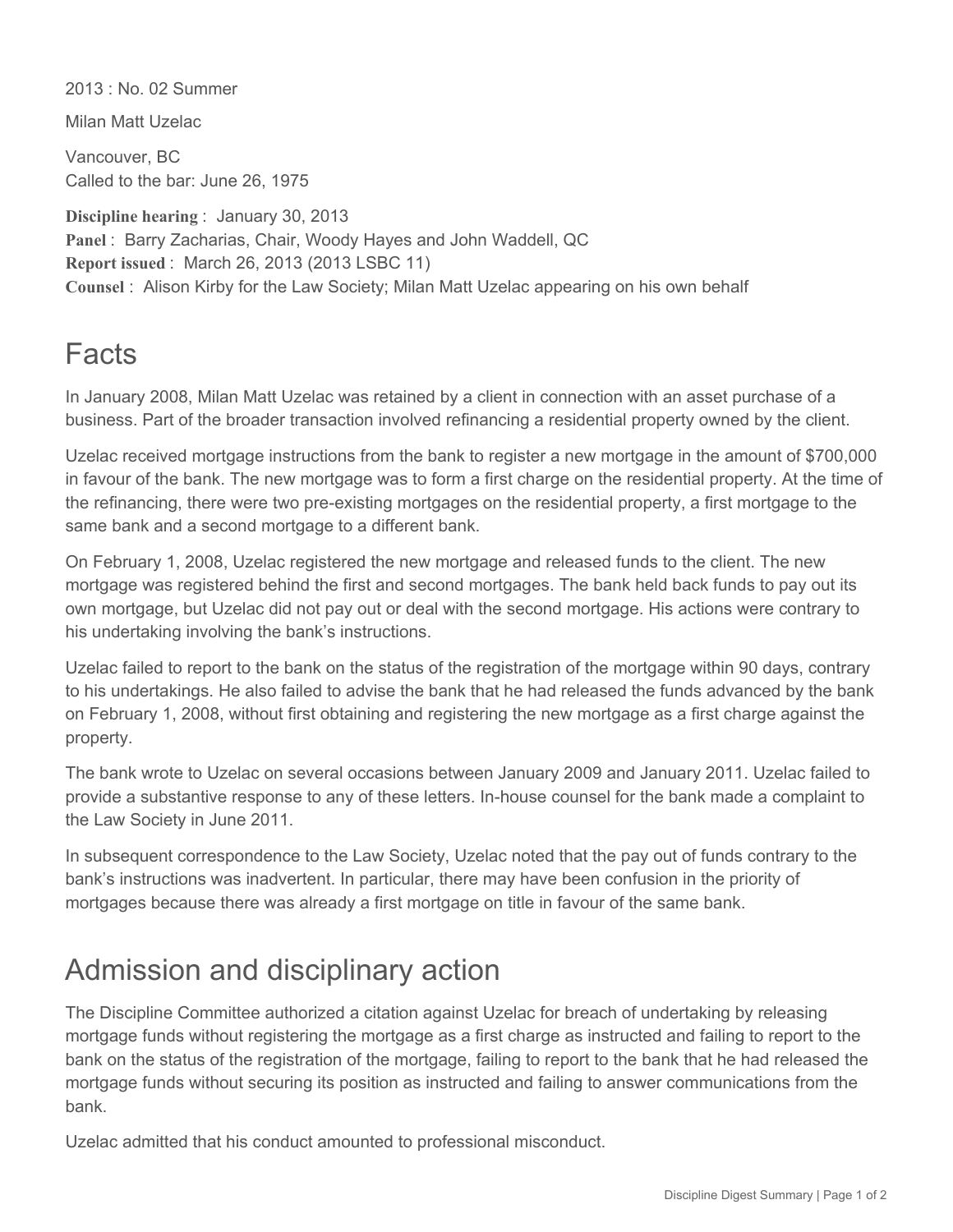2013 : No. 02 Summer

Milan Matt Uzelac

Vancouver, BC Called to the bar: June 26, 1975

**Discipline hearing** : January 30, 2013 **Panel** : Barry Zacharias, Chair, Woody Hayes and John Waddell, QC **Report issued** : March 26, 2013 (2013 LSBC 11) **Counsel** : Alison Kirby for the Law Society; Milan Matt Uzelac appearing on his own behalf

## **Facts**

In January 2008, Milan Matt Uzelac was retained by a client in connection with an asset purchase of a business. Part of the broader transaction involved refinancing a residential property owned by the client.

Uzelac received mortgage instructions from the bank to register a new mortgage in the amount of \$700,000 in favour of the bank. The new mortgage was to form a first charge on the residential property. At the time of the refinancing, there were two pre-existing mortgages on the residential property, a first mortgage to the same bank and a second mortgage to a different bank.

On February 1, 2008, Uzelac registered the new mortgage and released funds to the client. The new mortgage was registered behind the first and second mortgages. The bank held back funds to pay out its own mortgage, but Uzelac did not pay out or deal with the second mortgage. His actions were contrary to his undertaking involving the bank's instructions.

Uzelac failed to report to the bank on the status of the registration of the mortgage within 90 days, contrary to his undertakings. He also failed to advise the bank that he had released the funds advanced by the bank on February 1, 2008, without first obtaining and registering the new mortgage as a first charge against the property.

The bank wrote to Uzelac on several occasions between January 2009 and January 2011. Uzelac failed to provide a substantive response to any of these letters. In-house counsel for the bank made a complaint to the Law Society in June 2011.

In subsequent correspondence to the Law Society, Uzelac noted that the pay out of funds contrary to the bank's instructions was inadvertent. In particular, there may have been confusion in the priority of mortgages because there was already a first mortgage on title in favour of the same bank.

## Admission and disciplinary action

The Discipline Committee authorized a citation against Uzelac for breach of undertaking by releasing mortgage funds without registering the mortgage as a first charge as instructed and failing to report to the bank on the status of the registration of the mortgage, failing to report to the bank that he had released the mortgage funds without securing its position as instructed and failing to answer communications from the bank.

Uzelac admitted that his conduct amounted to professional misconduct.